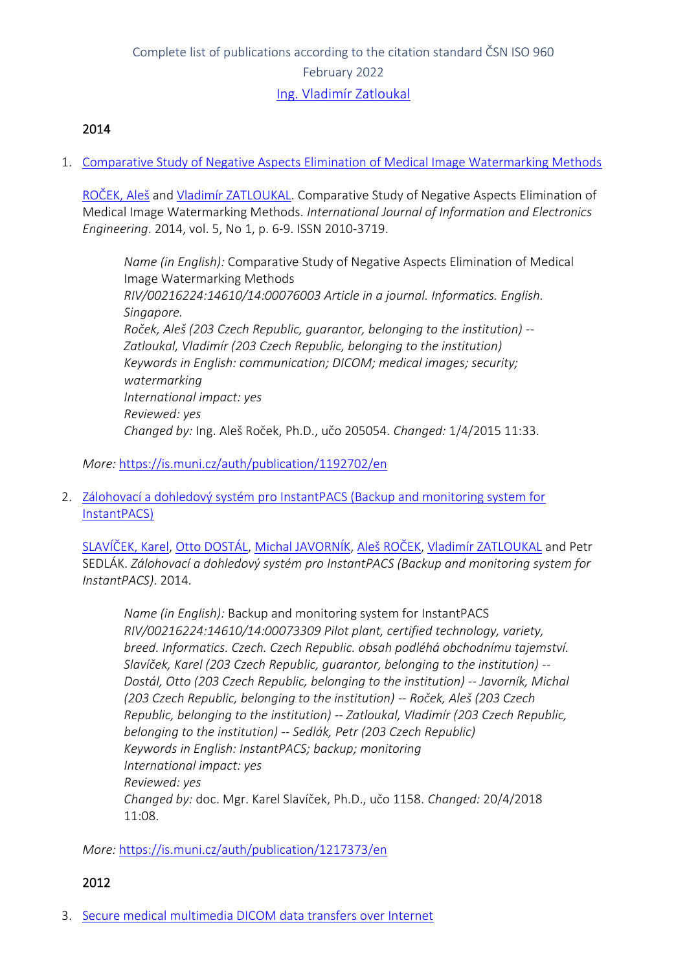# Complete list of publications according to the citation standard ČSN ISO 960 February 2022 [Ing. Vladimír Zatloukal](https://www.muni.cz/en/people/1113-vladimir-zatloukal)

# 2014

1. [Comparative Study of Negative Aspects Elimination of Medical Image Watermarking Methods](https://is.muni.cz/auth/publication/1192702/en?lang=en)

[ROČEK, Aleš](https://is.muni.cz/auth/person/205054?lang=en) and [Vladimír ZATLOUKAL](https://is.muni.cz/auth/person/1113?lang=en). Comparative Study of Negative Aspects Elimination of Medical Image Watermarking Methods. *International Journal of Information and Electronics Engineering*. 2014, vol. 5, No 1, p. 6-9. ISSN 2010-3719.

*Name (in English):* Comparative Study of Negative Aspects Elimination of Medical Image Watermarking Methods *RIV/00216224:14610/14:00076003 Article in a journal. Informatics. English. Singapore. Roček, Aleš (203 Czech Republic, guarantor, belonging to the institution) -- Zatloukal, Vladimír (203 Czech Republic, belonging to the institution) Keywords in English: communication; DICOM; medical images; security; watermarking International impact: yes Reviewed: yes Changed by:* Ing. Aleš Roček, Ph.D., učo 205054. *Changed:* 1/4/2015 11:33.

### *More:* [https://is.muni.cz/auth/publication/1192702/en](https://is.muni.cz/auth/publication/1192702/en/Comparative-Study-of-Negative-Aspects-Elimination-of-Medical-Image-Watermarking-Methods/Rocek-Zatloukal?lang=en)

2. [Zálohovací a dohledový systém pro InstantPACS \(Backup and monitoring system for](https://is.muni.cz/auth/publication/1217373/en?lang=en)  [InstantPACS\)](https://is.muni.cz/auth/publication/1217373/en?lang=en)

[SLAVÍČEK, Karel](https://is.muni.cz/auth/person/1158?lang=en), [Otto DOSTÁL](https://is.muni.cz/auth/person/2535?lang=en), [Michal JAVORNÍK](https://is.muni.cz/auth/person/1111?lang=en), [Aleš ROČEK](https://is.muni.cz/auth/person/205054?lang=en), [Vladimír ZATLOUKAL](https://is.muni.cz/auth/person/1113?lang=en) and Petr SEDLÁK. *Zálohovací a dohledový systém pro InstantPACS (Backup and monitoring system for InstantPACS)*. 2014.

*Name (in English):* Backup and monitoring system for InstantPACS *RIV/00216224:14610/14:00073309 Pilot plant, certified technology, variety, breed. Informatics. Czech. Czech Republic. obsah podléhá obchodnímu tajemství. Slavíček, Karel (203 Czech Republic, guarantor, belonging to the institution) -- Dostál, Otto (203 Czech Republic, belonging to the institution) -- Javorník, Michal (203 Czech Republic, belonging to the institution) -- Roček, Aleš (203 Czech Republic, belonging to the institution) -- Zatloukal, Vladimír (203 Czech Republic, belonging to the institution) -- Sedlák, Petr (203 Czech Republic) Keywords in English: InstantPACS; backup; monitoring International impact: yes Reviewed: yes Changed by:* doc. Mgr. Karel Slavíček, Ph.D., učo 1158. *Changed:* 20/4/2018  $11:08$ 

*More:* [https://is.muni.cz/auth/publication/1217373/en](https://is.muni.cz/auth/publication/1217373/en/Zalohovaci-a-dohledovy-system-pro-InstantPACS/Slavicek-Dostal-Javornik-Rocek?lang=en)

### 2012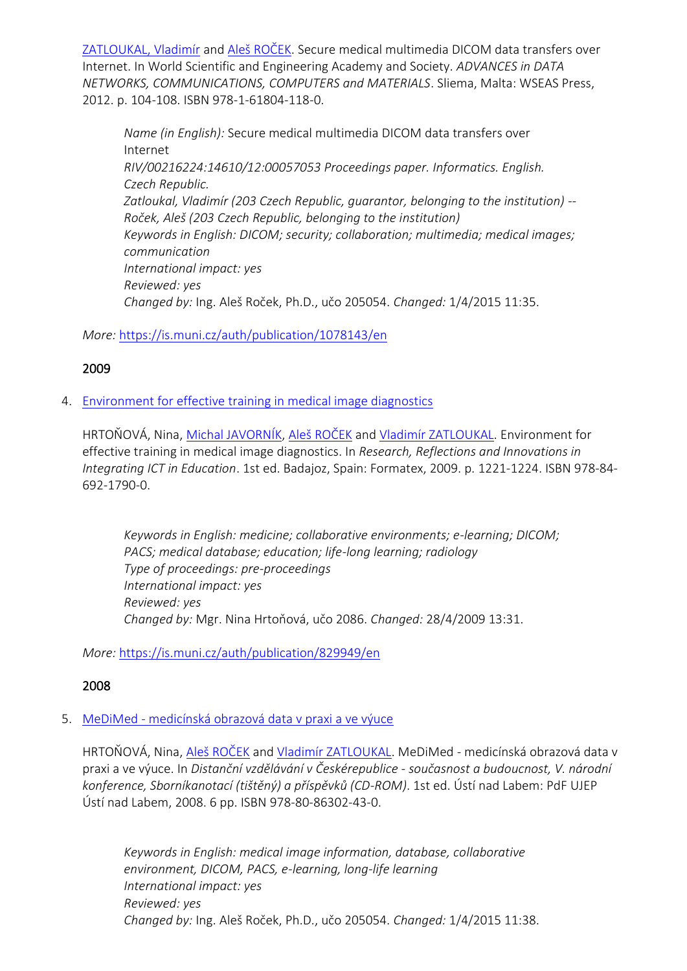[ZATLOUKAL, Vladimír](https://is.muni.cz/auth/person/1113?lang=en) and [Aleš ROČEK](https://is.muni.cz/auth/person/205054?lang=en). Secure medical multimedia DICOM data transfers over Internet. In World Scientific and Engineering Academy and Society. *ADVANCES in DATA NETWORKS, COMMUNICATIONS, COMPUTERS and MATERIALS*. Sliema, Malta: WSEAS Press, 2012. p. 104-108. ISBN 978-1-61804-118-0.

*Name (in English):* Secure medical multimedia DICOM data transfers over Internet *RIV/00216224:14610/12:00057053 Proceedings paper. Informatics. English. Czech Republic. Zatloukal, Vladimír (203 Czech Republic, guarantor, belonging to the institution) -- Roček, Aleš (203 Czech Republic, belonging to the institution) Keywords in English: DICOM; security; collaboration; multimedia; medical images; communication International impact: yes Reviewed: yes Changed by:* Ing. Aleš Roček, Ph.D., učo 205054. *Changed:* 1/4/2015 11:35.

*More:* [https://is.muni.cz/auth/publication/1078143/en](https://is.muni.cz/auth/publication/1078143/en/Secure-medical-multimedia-DICOM-data-transfers-over-Internet/Zatloukal-Rocek?lang=en)

# 2009

4. [Environment for effective training in medical image diagnostics](https://is.muni.cz/auth/publication/829949/en?lang=en)

HRTOŇOVÁ, Nina, [Michal JAVORNÍK](https://is.muni.cz/auth/person/1111?lang=en), [Aleš ROČEK](https://is.muni.cz/auth/person/205054?lang=en) and [Vladimír ZATLOUKAL](https://is.muni.cz/auth/person/1113?lang=en). Environment for effective training in medical image diagnostics. In *Research, Reflections and Innovations in Integrating ICT in Education*. 1st ed. Badajoz, Spain: Formatex, 2009. p. 1221-1224. ISBN 978-84- 692-1790-0.

*Keywords in English: medicine; collaborative environments; e-learning; DICOM; PACS; medical database; education; life-long learning; radiology Type of proceedings: pre-proceedings International impact: yes Reviewed: yes Changed by:* Mgr. Nina Hrtoňová, učo 2086. *Changed:* 28/4/2009 13:31.

*More:* [https://is.muni.cz/auth/publication/829949/en](https://is.muni.cz/auth/publication/829949/en/Environment-for-effective-training-in-medical-image-diagnostics/Hrtonova-Javornik-Rocek-Zatloukal?lang=en)

# 2008

### 5. MeDiMed - [medicínská obrazová data v praxi a ve výuce](https://is.muni.cz/auth/publication/771645/en?lang=en)

HRTOŇOVÁ, Nina, [Aleš ROČEK](https://is.muni.cz/auth/person/205054?lang=en) and [Vladimír ZATLOUKAL](https://is.muni.cz/auth/person/1113?lang=en). MeDiMed - medicínská obrazová data v praxi a ve výuce. In *Distanční vzdělávání v Českérepublice - současnost a budoucnost, V. národní konference, Sborníkanotací (tištěný) a příspěvků (CD-ROM)*. 1st ed. Ústí nad Labem: PdF UJEP Ústí nad Labem, 2008. 6 pp. ISBN 978-80-86302-43-0.

*Keywords in English: medical image information, database, collaborative environment, DICOM, PACS, e-learning, long-life learning International impact: yes Reviewed: yes Changed by:* Ing. Aleš Roček, Ph.D., učo 205054. *Changed:* 1/4/2015 11:38.